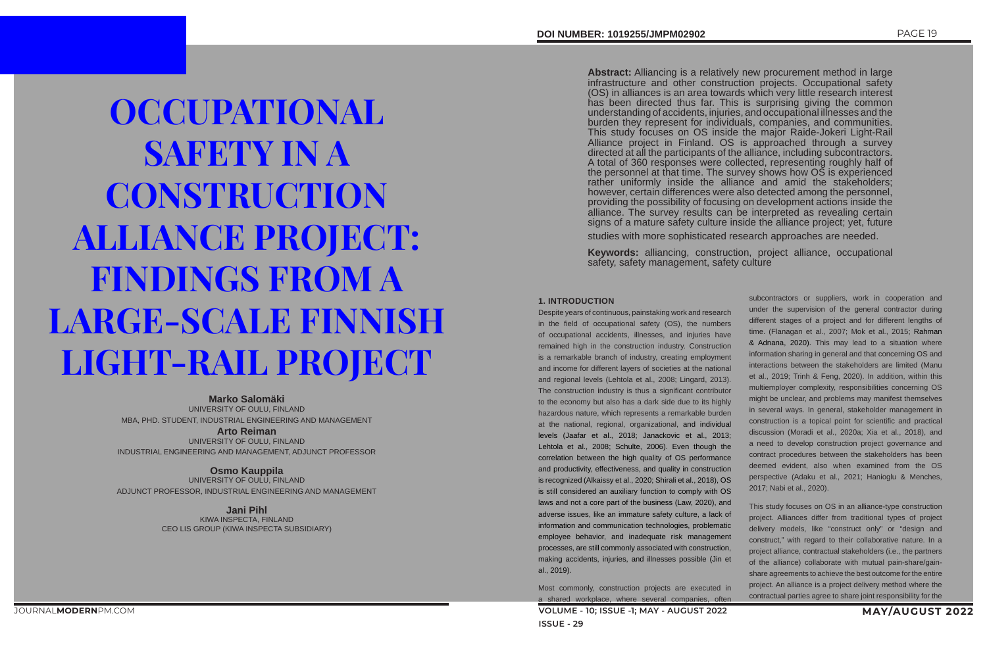# **OCCUPATIONAL SAFETY IN A CONSTRUCTION** ALLIANCE PROJECT: FINDINGS FROM A LARGE-SCALE FINNISH LIGHT-RAIL PROJECT

**Marko Salomäki** UNIVERSITY OF OULU, FINLAND MBA, PHD. STUDENT, INDUSTRIAL ENGINEERING AND MANAGEMENT

**Arto Reiman**  UNIVERSITY OF OULU, FINLAND INDUSTRIAL ENGINEERING AND MANAGEMENT, ADJUNCT PROFESSOR

**Osmo Kauppila** UNIVERSITY OF OULU, FINLAND ADJUNCT PROFESSOR, INDUSTRIAL ENGINEERING AND MANAGEMENT

> **Jani Pihl** KIWA INSPECTA, FINLAND CEO LIS GROUP (KIWA INSPECTA SUBSIDIARY)

**Abstract:** Alliancing is a relatively new procurement method in large infrastructure and other construction projects. Occupational safety (OS) in alliances is an area towards which very little research interest has been directed thus far. This is surprising giving the common understanding of accidents, injuries, and occupational illnesses and the burden they represent for individuals, companies, and communities. This study focuses on OS inside the major Raide-Jokeri Light-Rail Alliance project in Finland. OS is approached through a survey directed at all the participants of the alliance, including subcontractors. A total of 360 responses were collected, representing roughly half of the personnel at that time. The survey shows how OS is experienced rather uniformly inside the alliance and amid the stakeholders; however, certain differences were also detected among the personnel, providing the possibility of focusing on development actions inside the alliance. The survey results can be interpreted as revealing certain signs of a mature safety culture inside the alliance project; yet, future

**VOLUME - 10; ISSUE -1; MAY - AUGUST 2022 MAY/AUGUST 2022 ISSUE - 29** Most commonly, construction projects are executed in a shared workplace, where several companies, often

studies with more sophisticated research approaches are needed.

**Keywords:** alliancing, construction, project alliance, occupational safety, safety management, safety culture

# **1. INTRODUCTION**

Despite years of continuous, painstaking work and research in the field of occupational safety (OS), the numbers of occupational accidents, illnesses, and injuries have remained high in the construction industry. Construction is a remarkable branch of industry, creating employment and income for different layers of societies at the national and regional levels (Lehtola et al., 2008; Lingard, 2013). The construction industry is thus a significant contributor to the economy but also has a dark side due to its highly hazardous nature, which represents a remarkable burden at the national, regional, organizational, and individual levels (Jaafar et al., 2018; Janackovic et al., 2013; Lehtola et al., 2008; Schulte, 2006). Even though the correlation between the high quality of OS performance and productivity, effectiveness, and quality in construction is recognized (Alkaissy et al., 2020; Shirali et al., 2018), OS is still considered an auxiliary function to comply with OS laws and not a core part of the business (Law, 2020), and adverse issues, like an immature safety culture, a lack of information and communication technologies, problematic employee behavior, and inadequate risk management processes, are still commonly associated with construction, making accidents, injuries, and illnesses possible (Jin et al., 2019).

subcontractors or suppliers, work in cooperation and under the supervision of the general contractor during different stages of a project and for different lengths of time. (Flanagan et al., 2007; Mok et al., 2015; Rahman & Adnana, 2020). This may lead to a situation where information sharing in general and that concerning OS and interactions between the stakeholders are limited (Manu et al., 2019; Trinh & Feng, 2020). In addition, within this multiemployer complexity, responsibilities concerning OS might be unclear, and problems may manifest themselves in several ways. In general, stakeholder management in construction is a topical point for scientific and practical discussion (Moradi et al., 2020a; Xia et al., 2018), and a need to develop construction project governance and contract procedures between the stakeholders has been deemed evident, also when examined from the OS perspective (Adaku et al., 2021; Hanioglu & Menches, 2017; Nabi et al., 2020).

This study focuses on OS in an alliance-type construction project. Alliances differ from traditional types of project delivery models, like "construct only" or "design and construct," with regard to their collaborative nature. In a project alliance, contractual stakeholders (i.e., the partners of the alliance) collaborate with mutual pain-share/gainshare agreements to achieve the best outcome for the entire project. An alliance is a project delivery method where the contractual parties agree to share joint responsibility for the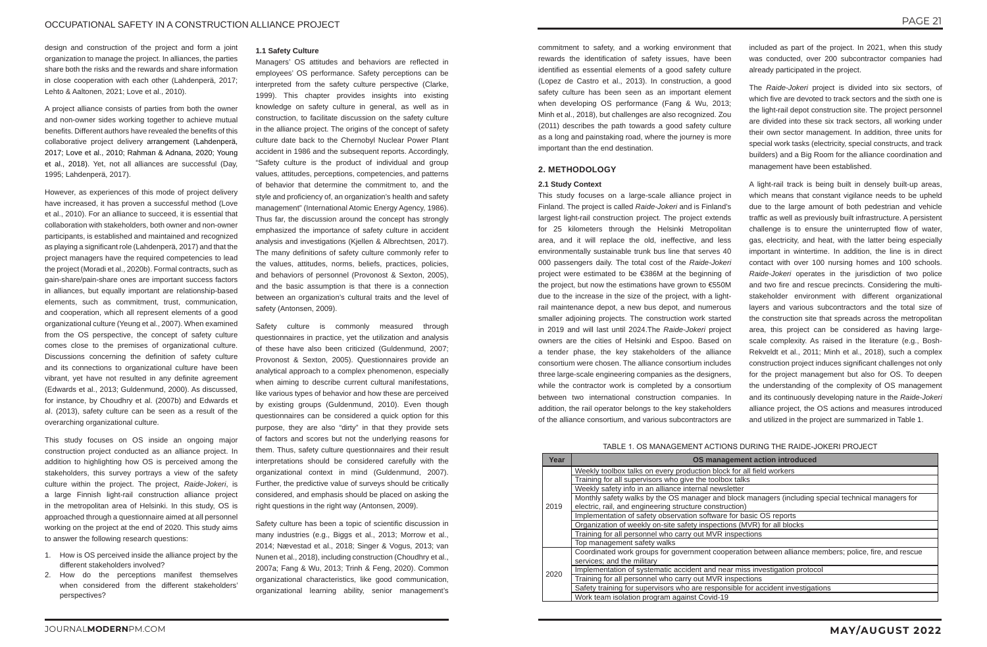design and construction of the project and form a joint organization to manage the project. In alliances, the parties share both the risks and the rewards and share information in close cooperation with each other (Lahdenperä, 2017; Lehto & Aaltonen, 2021; Love et al., 2010).

A project alliance consists of parties from both the owner and non-owner sides working together to achieve mutual benefits. Different authors have revealed the benefits of this collaborative project delivery arrangement (Lahdenperä, 2017; Love et al., 2010; Rahman & Adnana, 2020; Young et al., 2018). Yet, not all alliances are successful (Day, 1995; Lahdenperä, 2017).

However, as experiences of this mode of project delivery have increased, it has proven a successful method (Love et al., 2010). For an alliance to succeed, it is essential that collaboration with stakeholders, both owner and non-owner participants, is established and maintained and recognized as playing a significant role (Lahdenperä, 2017) and that the project managers have the required competencies to lead the project (Moradi et al., 2020b). Formal contracts, such as gain-share/pain-share ones are important success factors in alliances, but equally important are relationship-based elements, such as commitment, trust, communication, and cooperation, which all represent elements of a good organizational culture (Yeung et al., 2007). When examined from the OS perspective, the concept of safety culture comes close to the premises of organizational culture. Discussions concerning the definition of safety culture and its connections to organizational culture have been vibrant, yet have not resulted in any definite agreement (Edwards et al., 2013; Guldenmund, 2000). As discussed, for instance, by Choudhry et al. (2007b) and Edwards et al. (2013), safety culture can be seen as a result of the overarching organizational culture.

This study focuses on OS inside an ongoing major construction project conducted as an alliance project. In addition to highlighting how OS is perceived among the stakeholders, this survey portrays a view of the safety culture within the project. The project, *Raide-Jokeri*, is a large Finnish light-rail construction alliance project in the metropolitan area of Helsinki. In this study, OS is approached through a questionnaire aimed at all personnel working on the project at the end of 2020. This study aims to answer the following research questions:

- 1. How is OS perceived inside the alliance project by the different stakeholders involved?
- 2. How do the perceptions manifest themselves when considered from the different stakeholders' perspectives?

# **1.1 Safety Culture**

Managers' OS attitudes and behaviors are reflected in employees' OS performance. Safety perceptions can be interpreted from the safety culture perspective (Clarke, 1999). This chapter provides insights into existing knowledge on safety culture in general, as well as in construction, to facilitate discussion on the safety culture in the alliance project. The origins of the concept of safety culture date back to the Chernobyl Nuclear Power Plant accident in 1986 and the subsequent reports. Accordingly, "Safety culture is the product of individual and group values, attitudes, perceptions, competencies, and patterns of behavior that determine the commitment to, and the style and proficiency of, an organization's health and safety management" (International Atomic Energy Agency, 1986). Thus far, the discussion around the concept has strongly emphasized the importance of safety culture in accident analysis and investigations (Kjellen & Albrechtsen, 2017). The many definitions of safety culture commonly refer to the values, attitudes, norms, beliefs, practices, policies, and behaviors of personnel (Provonost & Sexton, 2005), and the basic assumption is that there is a connection between an organization's cultural traits and the level of safety (Antonsen, 2009).

Safety culture is commonly measured through questionnaires in practice, yet the utilization and analysis of these have also been criticized (Guldenmund, 2007; Provonost & Sexton, 2005). Questionnaires provide an analytical approach to a complex phenomenon, especially when aiming to describe current cultural manifestations, like various types of behavior and how these are perceived by existing groups (Guldenmund, 2010). Even though questionnaires can be considered a quick option for this purpose, they are also "dirty" in that they provide sets of factors and scores but not the underlying reasons for them. Thus, safety culture questionnaires and their result interpretations should be considered carefully with the organizational context in mind (Guldenmund, 2007). Further, the predictive value of surveys should be critically considered, and emphasis should be placed on asking the right questions in the right way (Antonsen, 2009).

Safety culture has been a topic of scientific discussion in many industries (e.g., Biggs et al., 2013; Morrow et al., 2014; Nævestad et al., 2018; Singer & Vogus, 2013; van Nunen et al., 2018), including construction (Choudhry et al., 2007a; Fang & Wu, 2013; Trinh & Feng, 2020). Common organizational characteristics, like good communication, organizational learning ability, senior management's

commitment to safety, and a working environment that rewards the identification of safety issues, have been identified as essential elements of a good safety culture (Lopez de Castro et al., 2013). In construction, a good safety culture has been seen as an important element when developing OS performance (Fang & Wu, 2013; Minh et al., 2018), but challenges are also recognized. Zou (2011) describes the path towards a good safety culture as a long and painstaking road, where the journey is more important than the end destination.

# **2. METHODOLOGY**

# **2.1 Study Context**

This study focuses on a large-scale alliance project in Finland. The project is called *Raide-Jokeri* and is Finland's largest light-rail construction project. The project extends for 25 kilometers through the Helsinki Metropolitan area, and it will replace the old, ineffective, and less environmentally sustainable trunk bus line that serves 40 000 passengers daily. The total cost of the *Raide-Jokeri* project were estimated to be €386M at the beginning of the project, but now the estimations have grown to €550M due to the increase in the size of the project, with a lightrail maintenance depot, a new bus depot, and numerous smaller adjoining projects. The construction work started in 2019 and will last until 2024.The *Raide-Jokeri* project owners are the cities of Helsinki and Espoo. Based on a tender phase, the key stakeholders of the alliance consortium were chosen. The alliance consortium includes three large-scale engineering companies as the designers, while the contractor work is completed by a consortium between two international construction companies. In addition, the rail operator belongs to the key stakeholders of the alliance consortium, and various subcontractors are

included as part of the project. In 2021, when this study was conducted, over 200 subcontractor companies had already participated in the project.

The *Raide-Jokeri* project is divided into six sectors, of which five are devoted to track sectors and the sixth one is the light-rail depot construction site. The project personnel are divided into these six track sectors, all working under their own sector management. In addition, three units for special work tasks (electricity, special constructs, and track builders) and a Big Room for the alliance coordination and management have been established.

A light-rail track is being built in densely built-up areas, which means that constant vigilance needs to be upheld due to the large amount of both pedestrian and vehicle traffic as well as previously built infrastructure. A persistent challenge is to ensure the uninterrupted flow of water, gas, electricity, and heat, with the latter being especially important in wintertime. In addition, the line is in direct contact with over 100 nursing homes and 100 schools. *Raide-Jokeri* operates in the jurisdiction of two police and two fire and rescue precincts. Considering the multistakeholder environment with different organizational layers and various subcontractors and the total size of the construction site that spreads across the metropolitan area, this project can be considered as having largescale complexity. As raised in the literature (e.g., Bosh-Rekveldt et al., 2011; Minh et al., 2018), such a complex construction project induces significant challenges not only for the project management but also for OS. To deepen the understanding of the complexity of OS management and its continuously developing nature in the *Raide-Jokeri* alliance project, the OS actions and measures introduced and utilized in the project are summarized in Table 1.

# TABLE 1. OS MANAGEMENT ACTIONS DURING THE RAIDE-JOKERI PROJECT

| Year | OS management action introduced                                                                       |
|------|-------------------------------------------------------------------------------------------------------|
| 2019 | Weekly toolbox talks on every production block for all field workers                                  |
|      | Training for all supervisors who give the toolbox talks                                               |
|      | Weekly safety info in an alliance internal newsletter                                                 |
|      | Monthly safety walks by the OS manager and block managers (including special technical managers for   |
|      | electric, rail, and engineering structure construction)                                               |
|      | Implementation of safety observation software for basic OS reports                                    |
|      | Organization of weekly on-site safety inspections (MVR) for all blocks                                |
|      | Training for all personnel who carry out MVR inspections                                              |
|      | Top management safety walks                                                                           |
| 2020 | Coordinated work groups for government cooperation between alliance members; police, fire, and rescue |
|      | services; and the military                                                                            |
|      | Implementation of systematic accident and near miss investigation protocol                            |
|      | Training for all personnel who carry out MVR inspections                                              |
|      | Safety training for supervisors who are responsible for accident investigations                       |
|      | Work team isolation program against Covid-19                                                          |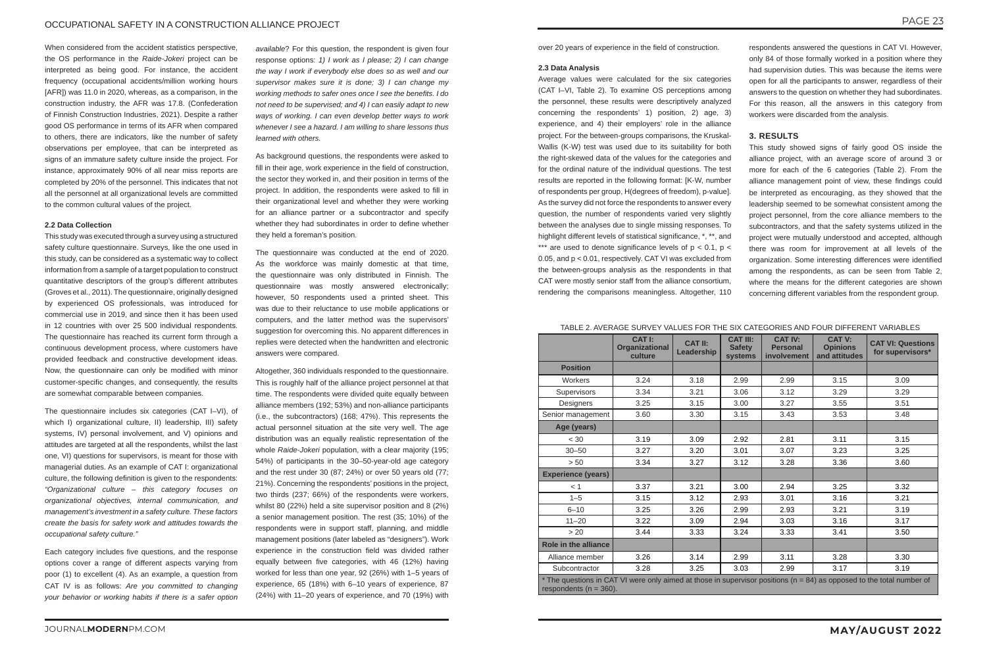# OCCUPATIONAL SAFETY IN A CONSTRUCTION ALLIANCE PROJECT

When considered from the accident statistics perspective, the OS performance in the *Raide-Jokeri* project can be interpreted as being good. For instance, the accident frequency (occupational accidents/million working hours [AFR]) was 11.0 in 2020, whereas, as a comparison, in the construction industry, the AFR was 17.8. (Confederation of Finnish Construction Industries, 2021). Despite a rather good OS performance in terms of its AFR when compared to others, there are indicators, like the number of safety observations per employee, that can be interpreted as signs of an immature safety culture inside the project. For instance, approximately 90% of all near miss reports are completed by 20% of the personnel. This indicates that not all the personnel at all organizational levels are committed to the common cultural values of the project.

# **2.2 Data Collection**

This study was executed through a survey using a structured safety culture questionnaire. Surveys, like the one used in this study, can be considered as a systematic way to collect information from a sample of a target population to construct quantitative descriptors of the group's different attributes (Groves et al., 2011). The questionnaire, originally designed by experienced OS professionals, was introduced for commercial use in 2019, and since then it has been used in 12 countries with over 25 500 individual respondents. The questionnaire has reached its current form through a continuous development process, where customers have provided feedback and constructive development ideas. Now, the questionnaire can only be modified with minor customer-specific changes, and consequently, the results are somewhat comparable between companies.

The questionnaire includes six categories (CAT I–VI), of which I) organizational culture, II) leadership, III) safety systems, IV) personal involvement, and V) opinions and attitudes are targeted at all the respondents, whilst the last one, VI) questions for supervisors, is meant for those with managerial duties. As an example of CAT I: organizational culture, the following definition is given to the respondents: *"Organizational culture – this category focuses on organizational objectives, internal communication, and management's investment in a safety culture. These factors create the basis for safety work and attitudes towards the occupational safety culture."*

Each category includes five questions, and the response options cover a range of different aspects varying from poor (1) to excellent (4). As an example, a question from CAT IV is as follows: *Are you committed to changing your behavior or working habits if there is a safer option* 

*available*? For this question, the respondent is given four response options: *1) I work as I please; 2) I can change the way I work if everybody else does so as well and our supervisor makes sure it is done; 3) I can change my working methods to safer ones once I see the benefits. I do not need to be supervised; and 4) I can easily adapt to new ways of working. I can even develop better ways to work whenever I see a hazard. I am willing to share lessons thus learned with others.*

As background questions, the respondents were asked to fill in their age, work experience in the field of construction, the sector they worked in, and their position in terms of the project. In addition, the respondents were asked to fill in their organizational level and whether they were working for an alliance partner or a subcontractor and specify whether they had subordinates in order to define whether they held a foreman's position.

The questionnaire was conducted at the end of 2020. As the workforce was mainly domestic at that time, the questionnaire was only distributed in Finnish. The questionnaire was mostly answered electronically; however, 50 respondents used a printed sheet. This was due to their reluctance to use mobile applications or computers, and the latter method was the supervisors' suggestion for overcoming this. No apparent differences in replies were detected when the handwritten and electronic answers were compared.

Altogether, 360 individuals responded to the questionnaire. This is roughly half of the alliance project personnel at that time. The respondents were divided quite equally between alliance members (192; 53%) and non-alliance participants (i.e., the subcontractors) (168; 47%). This represents the actual personnel situation at the site very well. The age distribution was an equally realistic representation of the whole *Raide-Jokeri* population, with a clear majority (195; 54%) of participants in the 30–50-year-old age category and the rest under 30 (87; 24%) or over 50 years old (77; 21%). Concerning the respondents' positions in the project, two thirds (237; 66%) of the respondents were workers, whilst 80 (22%) held a site supervisor position and 8 (2%) a senior management position. The rest (35; 10%) of the respondents were in support staff, planning, and middle management positions (later labeled as "designers"). Work experience in the construction field was divided rather equally between five categories, with 46 (12%) having worked for less than one year, 92 (26%) with 1–5 years of experience, 65 (18%) with 6–10 years of experience, 87 (24%) with 11–20 years of experience, and 70 (19%) with

over 20 years of experience in the field of construction.

### **2.3 Data Analysis**

Average values were calculated for the six categories (CAT I–VI, Table 2). To examine OS perceptions among the personnel, these results were descriptively analyzed concerning the respondents' 1) position, 2) age, 3) experience, and 4) their employers' role in the alliance project. For the between-groups comparisons, the Kruskal-Wallis (K-W) test was used due to its suitability for both the right-skewed data of the values for the categories and for the ordinal nature of the individual questions. The test results are reported in the following format: [K-W, number of respondents per group, H(degrees of freedom), p-value]. As the survey did not force the respondents to answer every question, the number of respondents varied very slightly between the analyses due to single missing responses. To highlight different levels of statistical significance, \*, \*\*, and \*\*\* are used to denote significance levels of  $p < 0.1$ ,  $p <$ 0.05, and p < 0.01, respectively. CAT VI was excluded from the between-groups analysis as the respondents in that CAT were mostly senior staff from the alliance consortium, rendering the comparisons meaningless. Altogether, 110

respondents answered the questions in CAT VI. However, only 84 of those formally worked in a position where they had supervision duties. This was because the items were open for all the participants to answer, regardless of their answers to the question on whether they had subordinates. For this reason, all the answers in this category from workers were discarded from the analysis.

# **3. RESULTS**

This study showed signs of fairly good OS inside the alliance project, with an average score of around 3 or more for each of the 6 categories (Table 2). From the alliance management point of view, these findings could be interpreted as encouraging, as they showed that the leadership seemed to be somewhat consistent among the project personnel, from the core alliance members to the subcontractors, and that the safety systems utilized in the project were mutually understood and accepted, although there was room for improvement at all levels of the organization. Some interesting differences were identified among the respondents, as can be seen from Table 2, where the means for the different categories are shown concerning different variables from the respondent group.

# TABLE 2. AVERAGE SURVEY VALUES FOR THE SIX CATEGORIES AND FOUR DIFFERENT VARIABLES

|                                                                                                                                                     | <b>CAT I:</b><br>Organizational<br>culture | <b>CAT II:</b><br>Leadership | <b>CAT III:</b><br><b>Safety</b><br>systems | <b>CAT IV:</b><br><b>Personal</b><br>involvement | <b>CAT V:</b><br><b>Opinions</b><br>and attitudes | <b>CAT VI: Questions</b><br>for supervisors* |  |  |
|-----------------------------------------------------------------------------------------------------------------------------------------------------|--------------------------------------------|------------------------------|---------------------------------------------|--------------------------------------------------|---------------------------------------------------|----------------------------------------------|--|--|
| <b>Position</b>                                                                                                                                     |                                            |                              |                                             |                                                  |                                                   |                                              |  |  |
| Workers                                                                                                                                             | 3.24                                       | 3.18                         | 2.99                                        | 2.99                                             | 3.15                                              | 3.09                                         |  |  |
| Supervisors                                                                                                                                         | 3.34                                       | 3.21                         | 3.06                                        | 3.12                                             | 3.29                                              | 3.29                                         |  |  |
| Designers                                                                                                                                           | 3.25                                       | 3.15                         | 3.00                                        | 3.27                                             | 3.55                                              | 3.51                                         |  |  |
| Senior management                                                                                                                                   | 3.60                                       | 3.30                         | 3.15                                        | 3.43                                             | 3.53                                              | 3.48                                         |  |  |
| Age (years)                                                                                                                                         |                                            |                              |                                             |                                                  |                                                   |                                              |  |  |
| < 30                                                                                                                                                | 3.19                                       | 3.09                         | 2.92                                        | 2.81                                             | 3.11                                              | 3.15                                         |  |  |
| $30 - 50$                                                                                                                                           | 3.27                                       | 3.20                         | 3.01                                        | 3.07                                             | 3.23                                              | 3.25                                         |  |  |
| > 50                                                                                                                                                | 3.34                                       | 3.27                         | 3.12                                        | 3.28                                             | 3.36                                              | 3.60                                         |  |  |
| <b>Experience (years)</b>                                                                                                                           |                                            |                              |                                             |                                                  |                                                   |                                              |  |  |
| $\leq 1$                                                                                                                                            | 3.37                                       | 3.21                         | 3.00                                        | 2.94                                             | 3.25                                              | 3.32                                         |  |  |
| $1 - 5$                                                                                                                                             | 3.15                                       | 3.12                         | 2.93                                        | 3.01                                             | 3.16                                              | 3.21                                         |  |  |
| $6 - 10$                                                                                                                                            | 3.25                                       | 3.26                         | 2.99                                        | 2.93                                             | 3.21                                              | 3.19                                         |  |  |
| $11 - 20$                                                                                                                                           | 3.22                                       | 3.09                         | 2.94                                        | 3.03                                             | 3.16                                              | 3.17                                         |  |  |
| $> 20$                                                                                                                                              | 3.44                                       | 3.33                         | 3.24                                        | 3.33                                             | 3.41                                              | 3.50                                         |  |  |
| <b>Role in the alliance</b>                                                                                                                         |                                            |                              |                                             |                                                  |                                                   |                                              |  |  |
| Alliance member                                                                                                                                     | 3.26                                       | 3.14                         | 2.99                                        | 3.11                                             | 3.28                                              | 3.30                                         |  |  |
| Subcontractor                                                                                                                                       | 3.28                                       | 3.25                         | 3.03                                        | 2.99                                             | 3.17                                              | 3.19                                         |  |  |
| * The questions in CAT VI were only aimed at those in supervisor positions (n = 84) as opposed to the total number of<br>respondents ( $n = 360$ ). |                                            |                              |                                             |                                                  |                                                   |                                              |  |  |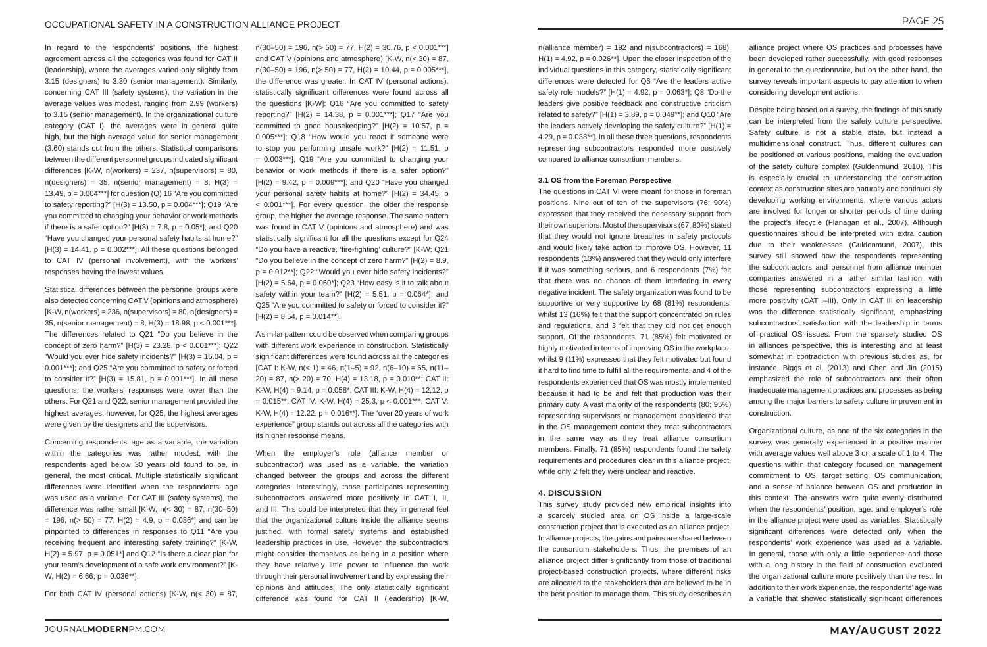In regard to the respondents' positions, the highest agreement across all the categories was found for CAT II (leadership), where the averages varied only slightly from 3.15 (designers) to 3.30 (senior management). Similarly, concerning CAT III (safety systems), the variation in the average values was modest, ranging from 2.99 (workers) to 3.15 (senior management). In the organizational culture category (CAT I), the averages were in general quite high, but the high average value for senior management (3.60) stands out from the others. Statistical comparisons between the different personnel groups indicated significant differences [K-W, n(workers) = 237, n(supervisors) = 80,  $n$ (designers) = 35,  $n$ (senior management) = 8, H(3) = 13.49,  $p = 0.004***$ ] for question (Q) 16 "Are you committed to safety reporting?"  $[H(3) = 13.50, p = 0.004***]$ ; Q19 "Are you committed to changing your behavior or work methods if there is a safer option?"  $[H(3) = 7.8, p = 0.05$ \*]; and Q20 "Have you changed your personal safety habits at home?"  $[H(3) = 14.41, p = 0.002***]$ . All these questions belonged to CAT IV (personal involvement), with the workers' responses having the lowest values.

Concerning respondents' age as a variable, the variation within the categories was rather modest, with the respondents aged below 30 years old found to be, in general, the most critical. Multiple statistically significant differences were identified when the respondents' age was used as a variable. For CAT III (safety systems), the difference was rather small  $[K-W, n(< 30) = 87, n(30–50)$  $= 196$ ,  $n(> 50) = 77$ ,  $H(2) = 4.9$ ,  $p = 0.086$ <sup>\*</sup> and can be pinpointed to differences in responses to Q11 "Are you receiving frequent and interesting safety training?" [K-W,  $H(2) = 5.97$ ,  $p = 0.051*$ ] and Q12 "Is there a clear plan for your team's development of a safe work environment?" [K-W,  $H(2) = 6.66$ ,  $p = 0.036**$ ].

For both CAT IV (personal actions) [K-W,  $n( $30$ ) = 87$ ,

 $n(30–50) = 196$ ,  $n(> 50) = 77$ ,  $H(2) = 30.76$ ,  $p < 0.001***$ and CAT V (opinions and atmosphere)  $[K-W, n(< 30) = 87$ ,  $n(30–50) = 196$ ,  $n(> 50) = 77$ ,  $H(2) = 10.44$ ,  $p = 0.005***$ ] the difference was greater. In CAT IV (personal actions), statistically significant differences were found across all the questions [K-W]: Q16 "Are you committed to safety reporting?"  $[H(2) = 14.38, p = 0.001***]$ ; Q17 "Are you committed to good housekeeping?"  $[H(2) = 10.57, p =$ 0.005\*\*\*]; Q18 "How would you react if someone were to stop you performing unsafe work?"  $[H(2) = 11.51, p]$  $= 0.003***$ ; Q19 "Are you committed to changing your behavior or work methods if there is a safer option?"  $[H(2) = 9.42, p = 0.009***]$ ; and Q20 "Have you changed your personal safety habits at home?" [H(2) = 34.45, p < 0.001\*\*\*]. For every question, the older the response group, the higher the average response. The same pattern was found in CAT V (opinions and atmosphere) and was statistically significant for all the questions except for Q24 "Do you have a reactive, 'fire-fighting' culture?" [K-W; Q21 "Do you believe in the concept of zero harm?"  $[H(2) = 8.9,$  $p = 0.012**$ ; Q22 "Would you ever hide safety incidents?"  $[H(2) = 5.64, p = 0.060<sup>*</sup>];$  Q23 "How easy is it to talk about safety within your team?"  $[H(2) = 5.51, p = 0.064$ <sup>\*</sup>]; and Q25 "Are you committed to safety or forced to consider it?"  $[H(2) = 8.54, p = 0.014**]$ .

Statistical differences between the personnel groups were also detected concerning CAT V (opinions and atmosphere)  $[K-W, n(workers) = 236, n(supervisors) = 80, n(designers) =$ 35, n(senior management) = 8, H(3) =  $18.98$ , p <  $0.001***$ 1. The differences related to Q21 "Do you believe in the concept of zero harm?"  $[H(3) = 23.28, p < 0.001***]$ ; Q22 "Would you ever hide safety incidents?"  $[H(3) = 16.04, p =$ 0.001\*\*\*]; and Q25 "Are you committed to safety or forced to consider it?"  $[H(3) = 15.81, p = 0.001***]$ . In all these questions, the workers' responses were lower than the others. For Q21 and Q22, senior management provided the highest averages; however, for Q25, the highest averages were given by the designers and the supervisors.

 $n$ (alliance member) = 192 and  $n$ (subcontractors) = 168),  $H(1) = 4.92$ ,  $p = 0.026**$ ]. Upon the closer inspection of the individual questions in this category, statistically significant differences were detected for Q6 "Are the leaders active safety role models?"  $[H(1) = 4.92, p = 0.063$ <sup>\*</sup>]; Q8 "Do the leaders give positive feedback and constructive criticism related to safety?"  $[H(1) = 3.89, p = 0.049**]$ ; and Q10 "Are the leaders actively developing the safety culture?"  $[H(1) =$ 4.29, p = 0.038\*\*]. In all these three questions, respondents representing subcontractors responded more positively compared to alliance consortium members.

A similar pattern could be observed when comparing groups with different work experience in construction. Statistically significant differences were found across all the categories [CAT I: K-W,  $n($ < 1) = 46,  $n(1-5)$  = 92,  $n(6-10)$  = 65,  $n(11-$ 20) = 87,  $n(> 20)$  = 70,  $H(4)$  = 13.18,  $p = 0.010^{**}$ ; CAT II: K-W,  $H(4) = 9.14$ ,  $p = 0.058$ <sup>\*</sup>; CAT III: K-W,  $H(4) = 12.12$ , p  $= 0.015$ \*\*; CAT IV: K-W, H(4) = 25.3, p < 0.001\*\*\*; CAT V: K-W,  $H(4) = 12.22$ ,  $p = 0.016**$ ]. The "over 20 years of work experience" group stands out across all the categories with its higher response means.

When the employer's role (alliance member or subcontractor) was used as a variable, the variation changed between the groups and across the different categories. Interestingly, those participants representing subcontractors answered more positively in CAT I, II, and III. This could be interpreted that they in general feel that the organizational culture inside the alliance seems justified, with formal safety systems and established leadership practices in use. However, the subcontractors might consider themselves as being in a position where they have relatively little power to influence the work through their personal involvement and by expressing their opinions and attitudes. The only statistically significant difference was found for CAT II (leadership) [K-W,

# **3.1 OS from the Foreman Perspective**

The questions in CAT VI were meant for those in foreman positions. Nine out of ten of the supervisors (76; 90%) expressed that they received the necessary support from their own superiors. Most of the supervisors (67; 80%) stated that they would not ignore breaches in safety protocols and would likely take action to improve OS. However, 11 respondents (13%) answered that they would only interfere if it was something serious, and 6 respondents (7%) felt that there was no chance of them interfering in every negative incident. The safety organization was found to be supportive or very supportive by 68 (81%) respondents, whilst 13 (16%) felt that the support concentrated on rules and regulations, and 3 felt that they did not get enough support. Of the respondents, 71 (85%) felt motivated or highly motivated in terms of improving OS in the workplace, whilst 9 (11%) expressed that they felt motivated but found it hard to find time to fulfill all the requirements, and 4 of the respondents experienced that OS was mostly implemented because it had to be and felt that production was their primary duty. A vast majority of the respondents (80; 95%) representing supervisors or management considered that in the OS management context they treat subcontractors in the same way as they treat alliance consortium members. Finally, 71 (85%) respondents found the safety requirements and procedures clear in this alliance project, while only 2 felt they were unclear and reactive.

# **4. DISCUSSION**

This survey study provided new empirical insights into a scarcely studied area on OS inside a large-scale construction project that is executed as an alliance project. In alliance projects, the gains and pains are shared between the consortium stakeholders. Thus, the premises of an alliance project differ significantly from those of traditional project-based construction projects, where different risks are allocated to the stakeholders that are believed to be in the best position to manage them. This study describes an

alliance project where OS practices and processes have been developed rather successfully, with good responses in general to the questionnaire, but on the other hand, the survey reveals important aspects to pay attention to when considering development actions.

Despite being based on a survey, the findings of this study can be interpreted from the safety culture perspective. Safety culture is not a stable state, but instead a multidimensional construct. Thus, different cultures can be positioned at various positions, making the evaluation of the safety culture complex (Guldenmund, 2010). This is especially crucial to understanding the construction context as construction sites are naturally and continuously developing working environments, where various actors are involved for longer or shorter periods of time during the project's lifecycle (Flanagan et al., 2007). Although questionnaires should be interpreted with extra caution due to their weaknesses (Guldenmund, 2007), this survey still showed how the respondents representing the subcontractors and personnel from alliance member companies answered in a rather similar fashion, with those representing subcontractors expressing a little more positivity (CAT I–III). Only in CAT III on leadership was the difference statistically significant, emphasizing subcontractors' satisfaction with the leadership in terms of practical OS issues. From the sparsely studied OS in alliances perspective, this is interesting and at least somewhat in contradiction with previous studies as, for instance, Biggs et al. (2013) and Chen and Jin (2015) emphasized the role of subcontractors and their often inadequate management practices and processes as being among the major barriers to safety culture improvement in construction.

Organizational culture, as one of the six categories in the survey, was generally experienced in a positive manner with average values well above 3 on a scale of 1 to 4. The questions within that category focused on management commitment to OS, target setting, OS communication, and a sense of balance between OS and production in this context. The answers were quite evenly distributed when the respondents' position, age, and employer's role in the alliance project were used as variables. Statistically significant differences were detected only when the respondents' work experience was used as a variable. In general, those with only a little experience and those with a long history in the field of construction evaluated the organizational culture more positively than the rest. In addition to their work experience, the respondents' age was a variable that showed statistically significant differences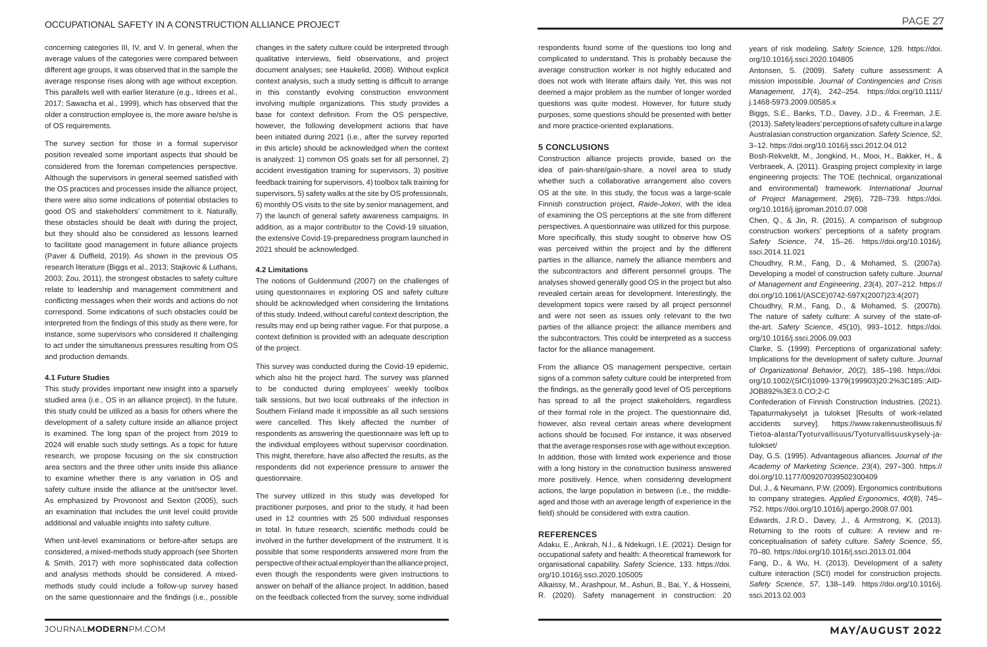# OCCUPATIONAL SAFETY IN A CONSTRUCTION ALLIANCE PROJECT

concerning categories III, IV, and V. In general, when the average values of the categories were compared between different age groups, it was observed that in the sample the average response rises along with age without exception. This parallels well with earlier literature (e.g., Idrees et al., 2017; Sawacha et al., 1999), which has observed that the older a construction employee is, the more aware he/she is of OS requirements.

The survey section for those in a formal supervisor position revealed some important aspects that should be considered from the foreman competencies perspective. Although the supervisors in general seemed satisfied with the OS practices and processes inside the alliance project, there were also some indications of potential obstacles to good OS and stakeholders' commitment to it. Naturally, these obstacles should be dealt with during the project, but they should also be considered as lessons learned to facilitate good management in future alliance projects (Paver & Duffield, 2019). As shown in the previous OS research literature (Biggs et al., 2013; Stajkovic & Luthans, 2003; Zou, 2011), the strongest obstacles to safety culture relate to leadership and management commitment and conflicting messages when their words and actions do not correspond. Some indications of such obstacles could be interpreted from the findings of this study as there were, for instance, some supervisors who considered it challenging to act under the simultaneous pressures resulting from OS and production demands.

# **4.1 Future Studies**

This study provides important new insight into a sparsely studied area (i.e., OS in an alliance project). In the future, this study could be utilized as a basis for others where the development of a safety culture inside an alliance project is examined. The long span of the project from 2019 to 2024 will enable such study settings. As a topic for future research, we propose focusing on the six construction area sectors and the three other units inside this alliance to examine whether there is any variation in OS and safety culture inside the alliance at the unit/sector level. As emphasized by Provonost and Sexton (2005), such an examination that includes the unit level could provide additional and valuable insights into safety culture.

When unit-level examinations or before-after setups are considered, a mixed-methods study approach (see Shorten & Smith, 2017) with more sophisticated data collection and analysis methods should be considered. A mixedmethods study could include a follow-up survey based on the same questionnaire and the findings (i.e., possible

changes in the safety culture could be interpreted through qualitative interviews, field observations, and project document analyses; see Haukelid, 2008). Without explicit context analysis, such a study setting is difficult to arrange in this constantly evolving construction environment involving multiple organizations. This study provides a base for context definition. From the OS perspective, however, the following development actions that have been initiated during 2021 (i.e., after the survey reported in this article) should be acknowledged when the context is analyzed: 1) common OS goals set for all personnel, 2) accident investigation training for supervisors, 3) positive feedback training for supervisors, 4) toolbox talk training for supervisors, 5) safety walks at the site by OS professionals, 6) monthly OS visits to the site by senior management, and 7) the launch of general safety awareness campaigns. In addition, as a major contributor to the Covid-19 situation, the extensive Covid-19-preparedness program launched in 2021 should be acknowledged.

# **4.2 Limitations**

The notions of Guldenmund (2007) on the challenges of using questionnaires in exploring OS and safety culture should be acknowledged when considering the limitations of this study. Indeed, without careful context description, the results may end up being rather vague. For that purpose, a context definition is provided with an adequate description of the project.

This survey was conducted during the Covid-19 epidemic, which also hit the project hard. The survey was planned to be conducted during employees' weekly toolbox talk sessions, but two local outbreaks of the infection in Southern Finland made it impossible as all such sessions were cancelled. This likely affected the number of respondents as answering the questionnaire was left up to the individual employees without supervisor coordination. This might, therefore, have also affected the results, as the respondents did not experience pressure to answer the questionnaire.

The survey utilized in this study was developed for practitioner purposes, and prior to the study, it had been used in 12 countries with 25 500 individual responses in total. In future research, scientific methods could be involved in the further development of the instrument. It is possible that some respondents answered more from the perspective of their actual employer than the alliance project, even though the respondents were given instructions to answer on behalf of the alliance project. In addition, based on the feedback collected from the survey, some individual

respondents found some of the questions too long and complicated to understand. This is probably because the average construction worker is not highly educated and does not work with literate affairs daily. Yet, this was not deemed a major problem as the number of longer worded questions was quite modest. However, for future study purposes, some questions should be presented with better and more practice-oriented explanations.

# **5 CONCLUSIONS**

Construction alliance projects provide, based on the idea of pain-share/gain-share, a novel area to study whether such a collaborative arrangement also covers OS at the site. In this study, the focus was a large-scale Finnish construction project, *Raide-Jokeri*, with the idea of examining the OS perceptions at the site from different perspectives. A questionnaire was utilized for this purpose. More specifically, this study sought to observe how OS was perceived within the project and by the different parties in the alliance, namely the alliance members and the subcontractors and different personnel groups. The analyses showed generally good OS in the project but also revealed certain areas for development. Interestingly, the development topics were raised by all project personnel and were not seen as issues only relevant to the two parties of the alliance project: the alliance members and the subcontractors. This could be interpreted as a success factor for the alliance management.

From the alliance OS management perspective, certain signs of a common safety culture could be interpreted from the findings, as the generally good level of OS perceptions has spread to all the project stakeholders, regardless of their formal role in the project. The questionnaire did, however, also reveal certain areas where development actions should be focused. For instance, it was observed that the average responses rose with age without exception. In addition, those with limited work experience and those with a long history in the construction business answered more positively. Hence, when considering development actions, the large population in between (i.e., the middleaged and those with an average length of experience in the field) should be considered with extra caution.

# **REFERENCES**

Adaku, E., Ankrah, N.I., & Ndekugri, I.E. (2021). Design for occupational safety and health: A theoretical framework for organisational capability. *Safety Science*, 133. https://doi. org/10.1016/j.ssci.2020.105005

Alkaissy, M., Arashpour, M., Ashuri, B., Bai, Y., & Hosseini, R. (2020). Safety management in construction: 20

- years of risk modeling. *Safety Science*, 129. https://doi. org/10.1016/j.ssci.2020.104805
- Antonsen, S. (2009). Safety culture assessment: A mission impossible. *Journal of Contingencies and Crisis Management*, *17*(4), 242–254. https://doi.org/10.1111/ j.1468-5973.2009.00585.x
- Biggs, S.E., Banks, T.D., Davey, J.D., & Freeman, J.E. (2013). Safety leaders' perceptions of safety culture in a large Australasian construction organization. *Safety Science*, *52*, 3–12. https://doi.org/10.1016/j.ssci.2012.04.012
- Bosh-Rekveldt, M., Jongkind, H., Mooi, H., Bakker, H., & Verbraeek, A. (2011). Grasping project complexity in large engineering projects: The TOE (technical, organizational and environmental) framework. *International Journal of Project Management*, *29*(6), 728–739. https://doi. org/10.1016/j.ijproman.2010.07.008
- Chen, Q., & Jin, R. (2015). A comparison of subgroup construction workers' perceptions of a safety program. *Safety Science*, *74*, 15–26. https://doi.org/10.1016/j. ssci.2014.11.021
- Choudhry, R.M., Fang, D., & Mohamed, S. (2007a). Developing a model of construction safety culture. *Journal of Management and Engineering*, *23*(4), 207–212. https:// doi.org/10.1061/(ASCE)0742-597X(2007)23:4(207)
- Choudhry, R.M., Fang, D., & Mohamed, S. (2007b). The nature of safety culture: A survey of the state-ofthe-art. *Safety Science*, *45*(10), 993–1012. https://doi. org/10.1016/j.ssci.2006.09.003
- Clarke, S. (1999). Perceptions of organizational safety: Implications for the development of safety culture. *Journal of Organizational Behavior*, *20*(2), 185–198. https://doi. org/10.1002/(SICI)1099-1379(199903)20:2%3C185::AID-JOB892%3E3.0.CO;2-C
- Confederation of Finnish Construction Industries. (2021). Tapaturmakyselyt ja tulokset [Results of work-related accidents survey]. https://www.rakennusteollisuus.fi/ Tietoa-alasta/Tyoturvallisuus/Tyoturvallisuuskysely-jatulokset/
- Day, G.S. (1995). Advantageous alliances. *Journal of the Academy of Marketing Science*, *23*(4), 297–300. https:// doi.org/10.1177/009207039502300409
- Dul, J., & Neumann, P.W. (2009). Ergonomics contributions to company strategies. *Applied Ergonomics*, *40*(8), 745– 752. https://doi.org/10.1016/j.apergo.2008.07.001
- Edwards, J.R.D., Davey, J., & Armstrong, K. (2013). Returning to the roots of culture: A review and reconceptualisation of safety culture. *Safety Science*, *55*, 70–80. https://doi.org/10.1016/j.ssci.2013.01.004
- Fang, D., & Wu, H. (2013). Development of a safety culture interaction (SCI) model for construction projects. *Safety Science*, *57*, 138–149. https://doi.org/10.1016/j. ssci.2013.02.003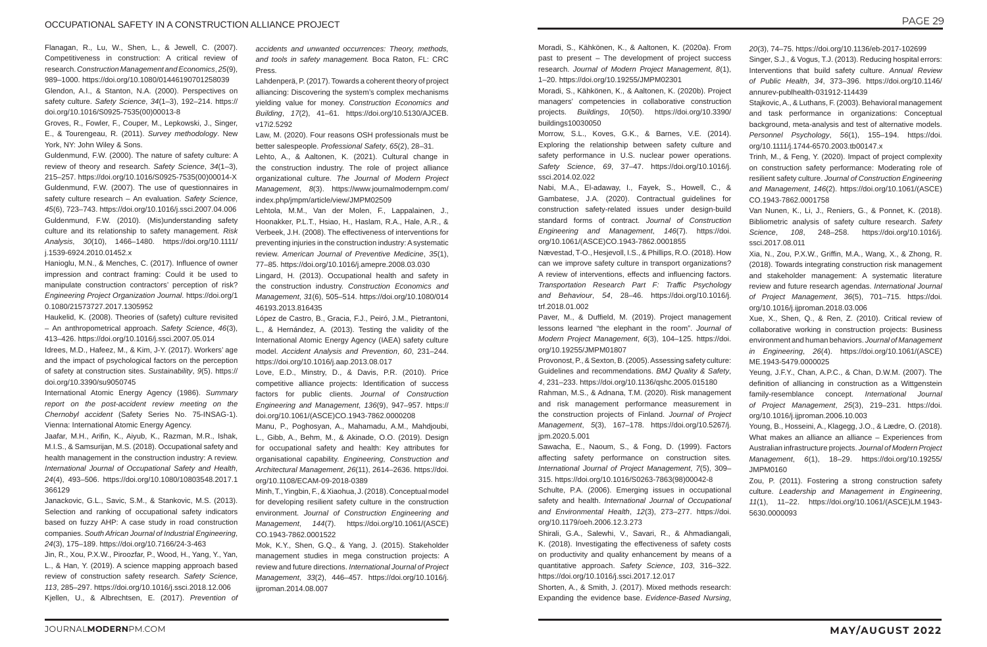Groves, R., Fowler, F., Couper, M., Lepkowski, J., Singer, E., & Tourengeau, R. (2011). *Survey methodology*. New York, NY: John Wiley & Sons.

Flanagan, R., Lu, W., Shen, L., & Jewell, C. (2007). Competitiveness in construction: A critical review of research. *Construction Management and Economics*, *25*(9), 989–1000. https://doi.org/10.1080/01446190701258039 Glendon, A.I., & Stanton, N.A. (2000). Perspectives on safety culture. *Safety Science*, *34*(1–3), 192–214. https:// doi.org/10.1016/S0925-7535(00)00013-8

Guldenmund, F.W. (2000). The nature of safety culture: A review of theory and research. *Safety Science*, *34*(1–3), 215–257. https://doi.org/10.1016/S0925-7535(00)00014-X Guldenmund, F.W. (2007). The use of questionnaires in safety culture research – An evaluation. *Safety Science*, *45*(6), 723–743. https://doi.org/10.1016/j.ssci.2007.04.006 Guldenmund, F.W. (2010). (Mis)understanding safety culture and its relationship to safety management. *Risk Analysis*, *30*(10), 1466–1480. https://doi.org/10.1111/ j.1539-6924.2010.01452.x

Hanioglu, M.N., & Menches, C. (2017). Influence of owner impression and contract framing: Could it be used to manipulate construction contractors' perception of risk? *Engineering Project Organization Journal*. https://doi.org/1 0.1080/21573727.2017.1305952

Haukelid, K. (2008). Theories of (safety) culture revisited – An anthropometrical approach. *Safety Science*, *46*(3), 413–426. https://doi.org/10.1016/j.ssci.2007.05.014

Idrees, M.D., Hafeez, M., & Kim, J-Y. (2017). Workers' age and the impact of psychological factors on the perception of safety at construction sites. *Sustainability*, *9*(5). https:// doi.org/10.3390/su9050745

International Atomic Energy Agency (1986). *Summary report on the post-accident review meeting on the Chernobyl accident* (Safety Series No. 75-INSAG-1). Vienna: International Atomic Energy Agency.

Jaafar, M.H., Arifin, K., Aiyub, K., Razman, M.R., Ishak, M.I.S., & Samsurijan, M.S. (2018). Occupational safety and health management in the construction industry: A review. *International Journal of Occupational Safety and Health*, *24*(4), 493–506. https://doi.org/10.1080/10803548.2017.1 366129

Janackovic, G.L., Savic, S.M., & Stankovic, M.S. (2013). Selection and ranking of occupational safety indicators based on fuzzy AHP: A case study in road construction companies. *South African Journal of Industrial Engineering*, *24*(3), 175–189. https://doi.org/10.7166/24-3-463

Jin, R., Xou, P.X.W., Piroozfar, P., Wood, H., Yang, Y., Yan, L., & Han, Y. (2019). A science mapping approach based review of construction safety research. *Safety Science*, *113*, 285–297. https://doi.org/10.1016/j.ssci.2018.12.006 Kjellen, U., & Albrechtsen, E. (2017). *Prevention of* 

*accidents and unwanted occurrences: Theory, methods, and tools in safety management.* Boca Raton, FL: CRC Press.

Lahdenperä, P. (2017). Towards a coherent theory of project alliancing: Discovering the system's complex mechanisms yielding value for money. *Construction Economics and Building*, *17*(2), 41–61. https://doi.org/10.5130/AJCEB. v17i2.5292

Law, M. (2020). Four reasons OSH professionals must be better salespeople. *Professional Safety*, *65*(2), 28–31.

Lehto, A., & Aaltonen, K. (2021). Cultural change in the construction industry. The role of project alliance organizational culture. *The Journal of Modern Project Management*, *8*(3). https://www.journalmodernpm.com/ index.php/jmpm/article/view/JMPM02509

Lehtola, M.M., Van der Molen, F., Lappalainen, J., Hoonakker, P.L.T., Hsiao, H., Haslam, R.A., Hale, A.R., & Verbeek, J.H. (2008). The effectiveness of interventions for preventing injuries in the construction industry: A systematic review. *American Journal of Preventive Medicine*, *35*(1), 77–85. https://doi.org/10.1016/j.amepre.2008.03.030

Lingard, H. (2013). Occupational health and safety in the construction industry. *Construction Economics and Management*, *31*(6), 505–514. https://doi.org/10.1080/014 46193.2013.816435

López de Castro, B., Gracia, F.J., Peiró, J.M., Pietrantoni, L., & Hernández, A. (2013). Testing the validity of the International Atomic Energy Agency (IAEA) safety culture model. *Accident Analysis and Prevention*, *60*, 231–244. https://doi.org/10.1016/j.aap.2013.08.017

Love, E.D., Minstry, D., & Davis, P.R. (2010). Price competitive alliance projects: Identification of success factors for public clients. *Journal of Construction Engineering and Management*, *136*(9), 947–957. https:// doi.org/10.1061/(ASCE)CO.1943-7862.0000208

Manu, P., Poghosyan, A., Mahamadu, A.M., Mahdjoubi, L., Gibb, A., Behm, M., & Akinade, O.O. (2019). Design for occupational safety and health: Key attributes for organisational capability. *Engineering, Construction and Architectural Management*, *26*(11), 2614–2636. https://doi. org/10.1108/ECAM-09-2018-0389

Minh, T., Yingbin, F., & Xiaohua, J. (2018). Conceptual model for developing resilient safety culture in the construction environment. *Journal of Construction Engineering and Management*, *144*(7). https://doi.org/10.1061/(ASCE) CO.1943-7862.0001522

Mok, K.Y., Shen, G.Q., & Yang, J. (2015). Stakeholder management studies in mega construction projects: A review and future directions. *International Journal of Project Management*, *33*(2), 446–457. https://doi.org/10.1016/j. ijproman.2014.08.007

Moradi, S., Kähkönen, K., & Aaltonen, K. (2020a). From past to present – The development of project success research. *Journal of Modern Project Management*, *8*(1), 1–20. https://doi.org/10.19255/JMPM02301

Moradi, S., Kähkönen, K., & Aaltonen, K. (2020b). Project managers' competencies in collaborative construction projects. *Buildings*, *10*(50). https://doi.org/10.3390/ buildings10030050

Morrow, S.L., Koves, G.K., & Barnes, V.E. (2014). Exploring the relationship between safety culture and safety performance in U.S. nuclear power operations. *Safety Science*, *69*, 37–47. https://doi.org/10.1016/j. ssci.2014.02.022

Nabi, M.A., El-adaway, I., Fayek, S., Howell, C., & Gambatese, J.A. (2020). Contractual guidelines for construction safety-related issues under design-build standard forms of contract. *Journal of Construction Engineering and Management*, *146*(7). https://doi. org/10.1061/(ASCE)CO.1943-7862.0001855

Nævestad, T-O., Hesjevoll, I.S., & Phillips, R.O. (2018). How can we improve safety culture in transport organizations? A review of interventions, effects and influencing factors. *Transportation Research Part F: Traffic Psychology and Behaviour*, *54*, 28–46. https://doi.org/10.1016/j. trf.2018.01.002

Paver, M., & Duffield, M. (2019). Project management lessons learned "the elephant in the room". *Journal of Modern Project Management*, *6*(3), 104–125. https://doi. org/10.19255/JMPM01807

Provonost, P., & Sexton, B. (2005). Assessing safety culture: Guidelines and recommendations. *BMJ Quality & Safety*, *4*, 231–233. https://doi.org/10.1136/qshc.2005.015180

Rahman, M.S., & Adnana, T.M. (2020). Risk management and risk management performance measurement in the construction projects of Finland. *Journal of Project Management*, *5*(3), 167–178. https://doi.org/10.5267/j. jpm.2020.5.001

Sawacha, E., Naoum, S., & Fong, D. (1999). Factors affecting safety performance on construction sites*. International Journal of Project Management*, *7*(5), 309– 315. https://doi.org/10.1016/S0263-7863(98)00042-8

Schulte, P.A. (2006). Emerging issues in occupational safety and health. *International Journal of Occupational and Environmental Health*, *12*(3), 273–277. https://doi. org/10.1179/oeh.2006.12.3.273

Shirali, G.A., Salewhi, V., Savari, R., & Ahmadiangali, K. (2018). Investigating the effectiveness of safety costs on productivity and quality enhancement by means of a quantitative approach. *Safety Science*, *103*, 316–322. https://doi.org/10.1016/j.ssci.2017.12.017

Shorten, A., & Smith, J. (2017). Mixed methods research: Expanding the evidence base. *Evidence-Based Nursing*,

- *20*(3), 74–75. https://doi.org/10.1136/eb-2017-102699 Singer, S.J., & Vogus, T.J. (2013). Reducing hospital errors: Interventions that build safety culture. *Annual Review of Public Health*, *34*, 373–396. https://doi.org/10.1146/ annurev-publhealth-031912-114439
- Stajkovic, A., & Luthans, F. (2003). Behavioral management and task performance in organizations: Conceptual background, meta-analysis and test of alternative models. *Personnel Psychology*, *56*(1), 155–194. https://doi. org/10.1111/j.1744-6570.2003.tb00147.x
- Trinh, M., & Feng, Y. (2020). Impact of project complexity on construction safety performance: Moderating role of resilient safety culture. *Journal of Construction Engineering and Management*, *146*(2). https://doi.org/10.1061/(ASCE) CO.1943-7862.0001758
- Van Nunen, K., Li, J., Reniers, G., & Ponnet, K. (2018). Bibliometric analysis of safety culture research. *Safety Science*, *108*, 248–258. https://doi.org/10.1016/j. ssci.2017.08.011
- Xia, N., Zou, P.X.W., Griffin, M.A., Wang, X., & Zhong, R. (2018). Towards integrating construction risk management and stakeholder management: A systematic literature review and future research agendas. *International Journal of Project Management*, *36*(5), 701–715. https://doi. org/10.1016/j.ijproman.2018.03.006
- Xue, X., Shen, Q., & Ren, Z. (2010). Critical review of collaborative working in construction projects: Business environment and human behaviors. *Journal of Management in Engineering*, *26*(4). https://doi.org/10.1061/(ASCE) ME.1943-5479.0000025
- Yeung, J.F.Y., Chan, A.P.C., & Chan, D.W.M. (2007). The definition of alliancing in construction as a Wittgenstein family-resemblance concept. *International Journal of Project Management*, *25*(3), 219–231. https://doi. org/10.1016/j.ijproman.2006.10.003
- Young, B., Hosseini, A., Klagegg, J.O., & Lædre, O. (2018). What makes an alliance an alliance – Experiences from Australian infrastructure projects. *Journal of Modern Project Management*, *6*(1), 18–29. https://doi.org/10.19255/ JMPM0160
- Zou, P. (2011). Fostering a strong construction safety culture. *Leadership and Management in Engineering*, *11*(1), 11–22. https://doi.org/10.1061/(ASCE)LM.1943- 5630.0000093